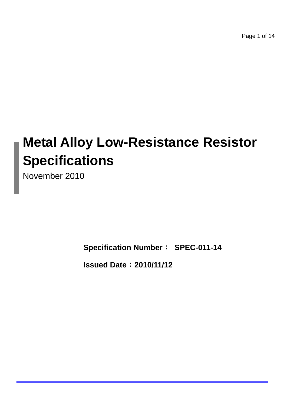Page 1 of 14

# **Metal Alloy Low-Resistance Resistor Specifications**

November 2010

**Specification Number**: **SPEC-011-14**

**Issued Date**:**2010/11/12**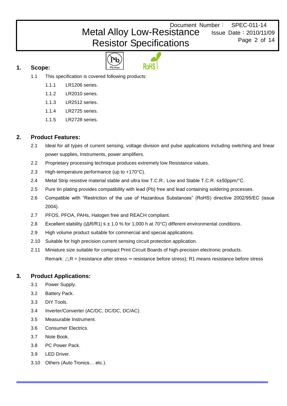Document Number: SPEC-011-14 Issue Date:2010/11/09 Metal Alloy Low-Resistance Resistor Specifications

Page 2 of 14

**1. Scope:** 



- 1.1 This specification is covered following products:
	- 1.1.1 LR1206 series.
	- 1.1.2 LR2010 series.
	- 1.1.3 LR2512 series.
	- 1.1.4 LR2725 series.
	- 1.1.5 LR2728 series.

# **2. Product Features:**

- 2.1 Ideal for all types of current sensing, voltage division and pulse applications including switching and linear power supplies, Instruments, power amplifiers.
- 2.2 Proprietary processing technique produces extremely low Resistance values.
- 2.3 High-temperature performance (up to +170°C).
- 2.4 Metal Strip resistive material stable and ultra low T.C.R.. Low and Stable T.C.R. ≤±50ppm/°C.
- 2.5 Pure tin plating provides compatibility with lead (Pb) free and lead containing soldering processes.
- 2.6 Compatible with "Restriction of the use of Hazardous Substances" (RoHS) directive 2002/95/EC (issue 2004).
- 2.7 PFOS, PFOA, PAHs, Halogen free and REACH compliant.
- 2.8 Excellent stability (|ΔR/R1| ≤ ± 1.0 % for 1,000 h at 70°C) different environmental conditions.
- 2.9 High volume product suitable for commercial and special applications.
- 2.10 Suitable for high precision current sensing circuit protection application.
- 2.11 Miniature size suitable for compact Print Circuit Boards of high-precision electronic products. Remark: △R = (resistance after stress **–** resistance before stress); R1 means resistance before stress

# **3. Product Applications:**

- 3.1 Power Supply.
- 3.2 Battery Pack.
- 3.3 DIY Tools.
- 3.4 Inverter/Converter (AC/DC, DC/DC, DC/AC).
- 3.5 Measurable Instrument.
- 3.6 Consumer Electrics.
- 3.7 Note Book.
- 3.8 PC Power Pack.
- 3.9 LED Driver.
- 3.10 Others (Auto Tronics… etc.).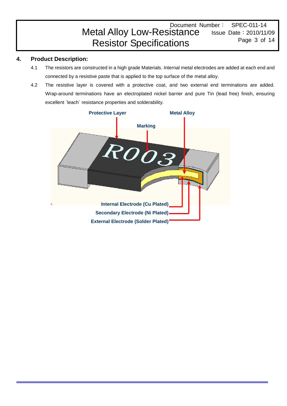#### Document Number: SPEC-011-14 Issue Date:2010/11/09 Page 3 of 14 Metal Alloy Low-Resistance Resistor Specifications

# **4. Product Description:**

- 4.1 The resistors are constructed in a high grade Materials. Internal metal electrodes are added at each end and connected by a resistive paste that is applied to the top surface of the metal alloy.
- 4.2 The resistive layer is covered with a protective coat, and two external end terminations are added. Wrap-around terminations have an electroplated nickel barrier and pure Tin (lead free) finish, ensuring excellent `leach´ resistance properties and solderability.

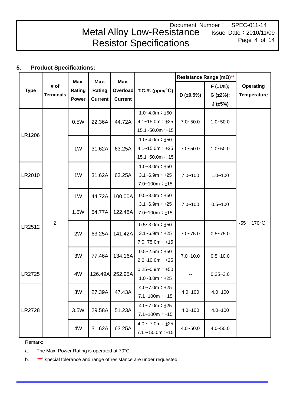#### Document Number: SPEC-011-14 Issue Date:2010/11/09 Page 4 of 14 Metal Alloy Low-Resistance Resistor Specifications

# **5. Product Specifications:**

|               |                  |                |                | Max.            |                               | Resistance Range (mΩ)** |                 |                    |  |
|---------------|------------------|----------------|----------------|-----------------|-------------------------------|-------------------------|-----------------|--------------------|--|
| <b>Type</b>   | # of             | Max.<br>Rating | Max.<br>Rating | <b>Overload</b> | T.C.R. (ppm/ $\textdegree$ C) |                         | $F(\pm 1\%)$ ;  | <b>Operating</b>   |  |
|               | <b>Terminals</b> | <b>Power</b>   | <b>Current</b> | <b>Current</b>  |                               | $D$ (±0.5%)             | $G (\pm 2\%)$ ; | <b>Temperature</b> |  |
|               |                  |                |                |                 |                               |                         | J(±5%)          |                    |  |
|               |                  |                |                |                 | $1.0 - 4.0m : ±50$            |                         |                 |                    |  |
|               |                  | 0.5W           | 22.36A         | 44.72A          | $4.1 - 15.0m : ±25$           | $7.0 - 50.0$            | $1.0 - 50.0$    |                    |  |
| LR1206        |                  |                |                |                 | $15.1 - 50.0m : ±15$          |                         |                 |                    |  |
|               |                  |                |                |                 | $1.0 - 4.0m : ±50$            |                         |                 |                    |  |
|               |                  | 1W             | 31.62A         | 63.25A          | $4.1 - 15.0m : ±25$           | $7.0 - 50.0$            | $1.0 - 50.0$    |                    |  |
|               |                  |                |                |                 | $15.1 - 50.0m : ±15$          |                         |                 |                    |  |
|               |                  |                |                |                 | $1.0 - 3.0m : ±50$            |                         |                 |                    |  |
| LR2010        |                  | 1W             | 31.62A         | 63.25A          | $3.1 - 6.9m : ±25$            | $7.0 - 100$             | $1.0 - 100$     |                    |  |
|               |                  |                |                |                 | $7.0 - 100m : ±15$            |                         |                 |                    |  |
|               |                  | 1W             | 44.72A         | 100.00A         | $0.5 - 3.0m : ±50$            |                         |                 |                    |  |
|               |                  |                |                |                 |                               | $3.1 - 6.9m : ±25$      | $7.0 - 100$     | $0.5 - 100$        |  |
|               |                  | 1.5W           | 54.77A         | 122.48A         | $7.0 - 100m : ±15$            |                         |                 |                    |  |
| LR2512        | $\overline{2}$   |                |                |                 | $0.5 - 3.0m : ±50$            |                         |                 | $-55 - +170$ °C    |  |
|               |                  | 2W             | 63.25A         | 141.42A         | $3.1 - 6.9m : ±25$            | $7.0 - 75.0$            | $0.5 - 75.0$    |                    |  |
|               |                  |                |                |                 | $7.0 - 75.0m : ±15$           |                         |                 |                    |  |
|               |                  |                |                |                 | $0.5 - 2.5m : ±50$            |                         |                 |                    |  |
|               |                  | 3W             | 77.46A         | 134.16A         | $2.6 - 10.0m : ±25$           | $7.0 - 10.0$            | $0.5 - 10.0$    |                    |  |
|               |                  |                |                |                 | $0.25 - 0.9m : ±50$           |                         |                 |                    |  |
| <b>LR2725</b> |                  | 4W             | 126.49A        | 252.95A         | $1.0 - 3.0m : ±25$            |                         | $0.25 - 3.0$    |                    |  |
|               |                  |                |                |                 | $4.0 - 7.0m : ±25$            |                         |                 |                    |  |
|               |                  | 3W             | 27.39A         | 47.43A          | $7.1 - 100m : ±15$            | $4.0 - 100$             | $4.0 - 100$     |                    |  |
|               |                  |                |                |                 | $4.0 - 7.0m : ±25$            |                         |                 |                    |  |
| LR2728        |                  | 3.5W           | 29.58A         | 51.23A          | $7.1 - 100m : ±15$            | $4.0 - 100$             | $4.0 - 100$     |                    |  |
|               |                  |                |                | 63.25A          | $4.0 \sim 7.0$ m : $\pm 25$   | $4.0 - 50.0$            | $4.0 - 50.0$    |                    |  |
|               |                  | 4W             | 31.62A         |                 | $7.1 \sim 50.0$ m : $\pm 15$  |                         |                 |                    |  |

Remark:

a. The Max. Power Rating is operated at 70°C.

b. "\*\*" special tolerance and range of resistance are under requested.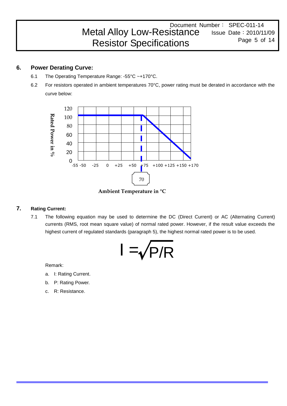#### Document Number: SPEC-011-14 Issue Date:2010/11/09 Page 5 of 14 Metal Alloy Low-Resistance Resistor Specifications

# **6. Power Derating Curve:**

- 6.1 The Operating Temperature Range: -55°C ~+170°C.
- 6.2 For resistors operated in ambient temperatures 70°C, power rating must be derated in accordance with the curve below:



**Ambient Temperature in °C**

# **7. Rating Current:**

7.1 The following equation may be used to determine the DC (Direct Current) or AC (Alternating Current) currents (RMS, root mean square value) of normal rated power. However, if the result value exceeds the highest current of regulated standards (paragraph 5), the highest normal rated power is to be used.



Remark:

- a. I: Rating Current.
- b. P: Rating Power.
- c. R: Resistance.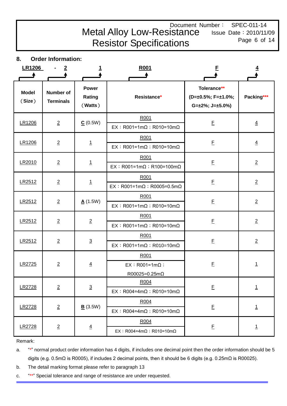# Document Number: SPEC-011-14 Metal Alloy Low-Resistance Resistor Specifications

Issue Date:2010/11/09 Page 6 of 14

**8. Order Information:** 

| <b>LR1206</b>          |                                      |                                   | R <sub>001</sub>                                         | F                                                                   |                |
|------------------------|--------------------------------------|-----------------------------------|----------------------------------------------------------|---------------------------------------------------------------------|----------------|
| <b>Model</b><br>(Size) | <b>Number of</b><br><b>Terminals</b> | <b>Power</b><br>Rating<br>(Watts) | Resistance*                                              | Tolerance**<br>(D=±0.5%; F=±1.0%;<br>$G=\pm 2\%$ ; J= $\pm 5.0\%$ ) | Packing***     |
| LR1206                 | $\overline{2}$                       | C(0.5W)                           | R001<br>$EX : R001 = 1m\Omega : R010 = 10m\Omega$        | $\mathsf{E}% _{0}\left( \mathsf{E}\right)$                          | $\overline{4}$ |
| LR1206                 | $\overline{2}$                       | $\mathbf{1}$                      | R001<br>$EX : R001 = 1m\Omega : R010 = 10m\Omega$        | E                                                                   | $\overline{4}$ |
| LR2010                 | $\overline{2}$                       | $\overline{1}$                    | R001<br>EX : R001=1mΩ ; R100=100mΩ                       | $\underline{\mathsf{F}}$                                            | $\overline{2}$ |
| LR2512                 | $\overline{2}$                       | $\overline{1}$                    | R001<br>$EX : R001 = 1m\Omega : R0005 = 0.5m\Omega$      | $\mathsf{E}% _{0}\left( \mathsf{E}\right)$                          | $\overline{2}$ |
| LR2512                 | $\overline{2}$                       | A(1.5W)                           | R001<br>$EX : R001 = 1m\Omega : R010 = 10m\Omega$        | E                                                                   | $\overline{2}$ |
| LR2512                 | $\overline{2}$                       | $\overline{2}$                    | R001<br>$EX : R001 = 1m\Omega : R010 = 10m\Omega$        | $\mathsf{E}% _{0}\left( \mathsf{E}\right)$                          | $\overline{2}$ |
| LR2512                 | $\overline{2}$                       | $\overline{3}$                    | R001<br>$EX:$ R001=1m $\Omega$ ; R010=10m $\Omega$       | E                                                                   | $\overline{2}$ |
| LR2725                 | $\overline{2}$                       | $\overline{4}$                    | R001<br>$EX : RO01=1m\Omega$ ;<br>$R00025 = 0.25m\Omega$ | E                                                                   | $\overline{1}$ |
| LR2728                 | $\overline{2}$                       | $\overline{3}$                    | R004<br>$EX : R004=4m\Omega : R010=10m\Omega$            | $\mathsf E$                                                         | $\overline{1}$ |
| LR2728                 | $\overline{2}$                       | B(3.5W)                           | R004<br>$EX : R004=4m\Omega : R010=10m\Omega$            | E                                                                   | $\overline{1}$ |
| LR2728                 | $\overline{2}$                       | $\overline{4}$                    | R004<br>$EX : R004 = 4m\Omega : R010 = 10m\Omega$        | E                                                                   | $\overline{1}$ |

Remark:

a. "\*" normal product order information has 4 digits, if includes one decimal point then the order information should be 5 digits (e.g. 0.5mΩ is R0005), if includes 2 decimal points, then it should be 6 digits (e.g. 0.25mΩ is R00025).

b. The detail marking format please refer to paragraph 13

c. "\*\*" Special tolerance and range of resistance are under requested.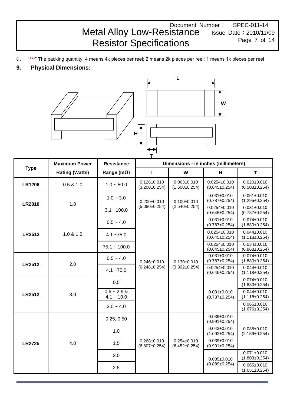# Document Number: SPEC-011-14 Metal Alloy Low-Resistance Resistor Specifications

Issue Date:2010/11/09 Page 7 of 14

- d. "\*\*\*" The packing quantity: 4 means 4k pieces per reel; 2 means 2k pieces per reel; 1 means 1k pieces per reel
- **9. Physical Dimensions:**



|                                                                | <b>Maximum Power</b>  | <b>Resistance</b>             |                                                                                                                                                                                                                                                                                                                                                                                                                                                                                                                                                                                                                                                                                                                                                                     |                                          |                                           |                                          |  |  |
|----------------------------------------------------------------|-----------------------|-------------------------------|---------------------------------------------------------------------------------------------------------------------------------------------------------------------------------------------------------------------------------------------------------------------------------------------------------------------------------------------------------------------------------------------------------------------------------------------------------------------------------------------------------------------------------------------------------------------------------------------------------------------------------------------------------------------------------------------------------------------------------------------------------------------|------------------------------------------|-------------------------------------------|------------------------------------------|--|--|
| <b>Type</b><br><b>LR1206</b><br><b>LR2010</b><br><b>LR2512</b> | <b>Rating (Watts)</b> | Range ( $m\Omega$ )           | L                                                                                                                                                                                                                                                                                                                                                                                                                                                                                                                                                                                                                                                                                                                                                                   | W                                        | H                                         | T                                        |  |  |
|                                                                | 0.5 & 1.0             | $1.0 - 50.0$                  | $0.126 \pm 0.010$<br>$(3.200 \pm 0.254)$                                                                                                                                                                                                                                                                                                                                                                                                                                                                                                                                                                                                                                                                                                                            | $0.063 \pm 0.010$<br>$(1.600 \pm 0.254)$ | $0.0254 \pm 0.010$<br>$(0.645 \pm 0.254)$ | $0.020 + 0.010$<br>$(0.508 \pm 0.254)$   |  |  |
|                                                                | 1.0                   | $1.0 - 3.0$                   | $0.200 + 0.010$                                                                                                                                                                                                                                                                                                                                                                                                                                                                                                                                                                                                                                                                                                                                                     | $0.100 + 0.010$                          | $0.031 \pm 0.010$<br>$(0.787 \pm 0.254)$  | $0.051 + 0.010$<br>$(1.295 \pm 0.254)$   |  |  |
|                                                                |                       | $3.1 - 100.0$                 | т<br>Dimensions - in inches (millimeters)<br>$(5.080 \pm 0.254)$<br>$(2.540 \pm 0.254)$<br>$0.0254 \pm 0.010$<br>$(0.645 \pm 0.254)$<br>$0.031 \pm 0.010$<br>$(0.787 \pm 0.254)$<br>$0.0254 \pm 0.010$<br>$(0.645 \pm 0.254)$<br>$0.0254 \pm 0.010$<br>$(0.645 \pm 0.254)$<br>$0.031 \pm 0.010$<br>$(0.787 \pm 0.254)$<br>$0.246 \pm 0.010$<br>$0.130 + 0.010$<br>$(6.248 \pm 0.254)$<br>$(3.302 \pm 0.254)$<br>$0.0254 \pm 0.010$<br>$(0.645 \pm 0.254)$<br>$0.031 \pm 0.010$<br>$(0.787 \pm 0.254)$<br>$0.039 + 0.010$<br>$(0.991 \pm 0.254)$<br>$0.043 + 0.010$<br>$(1.092 \pm 0.254)$<br>$0.268 + 0.010$<br>$0.254 \pm 0.010$<br>$0.039 + 0.010$<br>$(0.991 \pm 0.254)$<br>$(6.807 \pm 0.254)$<br>$(6.452 \pm 0.254)$<br>$0.035 + 0.010$<br>$(0.889 \pm 0.254)$ | $0.031 + 0.010$<br>$(0.787 \pm 0.254)$   |                                           |                                          |  |  |
|                                                                |                       | $0.5 - 4.0$                   |                                                                                                                                                                                                                                                                                                                                                                                                                                                                                                                                                                                                                                                                                                                                                                     |                                          |                                           | $0.074 \pm 0.010$<br>$(1.880 \pm 0.254)$ |  |  |
|                                                                | 1.0 & 1.5             | $4.1 - 75.0$                  |                                                                                                                                                                                                                                                                                                                                                                                                                                                                                                                                                                                                                                                                                                                                                                     |                                          |                                           | $0.044 \pm 0.010$<br>$(1.118 \pm 0.254)$ |  |  |
|                                                                |                       | $75.1 - 100.0$                |                                                                                                                                                                                                                                                                                                                                                                                                                                                                                                                                                                                                                                                                                                                                                                     |                                          |                                           | $0.034 + 0.010$<br>$(0.868 \pm 0.254)$   |  |  |
| <b>LR2512</b>                                                  | 2.0                   | $0.5 - 4.0$                   |                                                                                                                                                                                                                                                                                                                                                                                                                                                                                                                                                                                                                                                                                                                                                                     |                                          |                                           | $0.074 \pm 0.010$<br>$(1.880 \pm 0.254)$ |  |  |
|                                                                |                       | $4.1 - 75.0$                  |                                                                                                                                                                                                                                                                                                                                                                                                                                                                                                                                                                                                                                                                                                                                                                     |                                          |                                           | $0.044 \pm 0.010$<br>$(1.118 \pm 0.254)$ |  |  |
|                                                                |                       | 0.5                           |                                                                                                                                                                                                                                                                                                                                                                                                                                                                                                                                                                                                                                                                                                                                                                     |                                          |                                           | $0.074 \pm 0.010$<br>$(1.880 \pm 0.254)$ |  |  |
| <b>LR2512</b>                                                  | 3.0                   | $0.6 - 2.9$ &<br>$4.1 - 10.0$ |                                                                                                                                                                                                                                                                                                                                                                                                                                                                                                                                                                                                                                                                                                                                                                     |                                          |                                           | $0.044 + 0.010$<br>$(1.118 \pm 0.254)$   |  |  |
|                                                                |                       | $3.0 - 4.0$                   |                                                                                                                                                                                                                                                                                                                                                                                                                                                                                                                                                                                                                                                                                                                                                                     |                                          |                                           | $0.066 \pm 0.010$<br>$(1.676 \pm 0.254)$ |  |  |
|                                                                |                       | 0.25, 0.50                    |                                                                                                                                                                                                                                                                                                                                                                                                                                                                                                                                                                                                                                                                                                                                                                     |                                          |                                           |                                          |  |  |
|                                                                |                       | 1.0                           |                                                                                                                                                                                                                                                                                                                                                                                                                                                                                                                                                                                                                                                                                                                                                                     |                                          |                                           | $0.085 + 0.010$<br>$(2.159 \pm 0.254)$   |  |  |
| <b>LR2725</b>                                                  | 4.0                   | 1.5                           |                                                                                                                                                                                                                                                                                                                                                                                                                                                                                                                                                                                                                                                                                                                                                                     |                                          |                                           |                                          |  |  |
|                                                                |                       | 2.0                           |                                                                                                                                                                                                                                                                                                                                                                                                                                                                                                                                                                                                                                                                                                                                                                     |                                          |                                           | $0.071 \pm 0.010$<br>$(1.803 \pm 0.254)$ |  |  |
|                                                                |                       | 2.5                           |                                                                                                                                                                                                                                                                                                                                                                                                                                                                                                                                                                                                                                                                                                                                                                     |                                          |                                           | $0.065 + 0.010$<br>$(1.651 \pm 0.254)$   |  |  |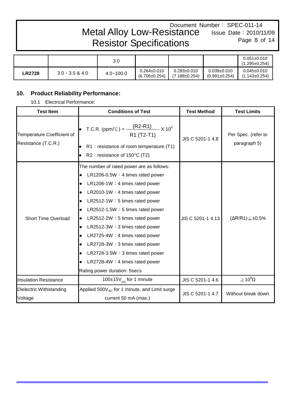## Document Number: SPEC-011-14 Issue Date:2010/11/09 Page 8 of 14 Metal Alloy Low-Resistance Resistor Specifications

|               |                        | 3.0           |                                          |                                          |                                          | $0.051 \pm 0.010$<br>$(1.295 \pm 0.254)$ |
|---------------|------------------------|---------------|------------------------------------------|------------------------------------------|------------------------------------------|------------------------------------------|
| <b>LR2728</b> | $3.0 \cdot 3.5 \& 4.0$ | $4.0 - 100.0$ | $0.264 \pm 0.010$<br>$(6.706 \pm 0.254)$ | $0.283 \pm 0.010$<br>$(7.188 \pm 0.254)$ | $0.039 \pm 0.010$<br>$(0.991 \pm 0.254)$ | $0.045 \pm 0.010$<br>$(1.143 \pm 0.254)$ |

# **10. Product Reliability Performance:**

10.1 Electrical Performance:

| <b>Test Item</b>                                  | <b>Conditions of Test</b>                                                                                                                                                                                                                                                                                                                                                                                                                                                                                   | <b>Test Method</b> | <b>Test Limits</b>                  |
|---------------------------------------------------|-------------------------------------------------------------------------------------------------------------------------------------------------------------------------------------------------------------------------------------------------------------------------------------------------------------------------------------------------------------------------------------------------------------------------------------------------------------------------------------------------------------|--------------------|-------------------------------------|
| Temperature Coefficient of<br>Resistance (T.C.R.) | T.C.R. (ppm/°C) = $\frac{\text{(R2-R1)}}{100}$ x 10 <sup>6</sup><br>R1 (T2-T1)<br>$R1$ : resistance of room temperature (T1)<br>R2 : resistance of 150°C (T2)                                                                                                                                                                                                                                                                                                                                               | JIS C 5201-1 4.8   | Per Spec. (refer to<br>paragraph 5) |
| <b>Short Time Overload</b>                        | The number of rated power are as follows:<br>LR1206-0.5W $: 4$ times rated power<br>LR1206-1W: 4 times rated power<br>$LR2010-1W: 4 \text{ times rated power}$<br>$LR2512-1W: 5 \text{ times rated power}$<br>LR2512-1.5W: 5 times rated power<br>LR2512-2W: 5 times rated power<br>LR2512-3W: 3 times rated power<br>$\bullet$<br>LR2725-4W: 4 times rated power<br>LR2728-3W: 3 times rated power<br>$LR2728-3.5W: 3 times rated power$<br>LR2728-4W: 4 times rated power<br>Rating power duration: 5secs | JIS C 5201-1 4.13  | $(\Delta R/R1) \leq \pm 0.5\%$      |
| <b>Insulation Resistance</b>                      | 100 $\pm$ 15V <sub>DC</sub> for 1 minute                                                                                                                                                                                                                                                                                                                                                                                                                                                                    | JIS C 5201-1 4.6   | $\geq$ 10 <sup>9</sup> $\Omega$     |
| Dielectric Withstanding<br>Voltage                | Applied 500V <sub>AC</sub> for 1 minute, and Limit surge<br>current 50 mA (max.)                                                                                                                                                                                                                                                                                                                                                                                                                            | JIS C 5201-1 4.7   | Without break down                  |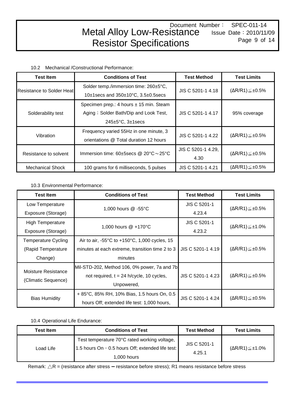10.2 Mechanical /Constructional Performance:

| <b>Test Item</b>                 | <b>Conditions of Test</b>                            | <b>Test Method</b>                                                                                                                                                   | <b>Test Limits</b>             |  |
|----------------------------------|------------------------------------------------------|----------------------------------------------------------------------------------------------------------------------------------------------------------------------|--------------------------------|--|
| <b>Resistance to Solder Heat</b> | Solder temp./immersion time: 260±5°C,                |                                                                                                                                                                      | $(\Delta R/R1) \leq \pm 0.5\%$ |  |
|                                  | 10 $\pm$ 1secs and 350 $\pm$ 10°C, 3.5 $\pm$ 0.5secs |                                                                                                                                                                      |                                |  |
|                                  | Specimen prep.: 4 hours ± 15 min. Steam              |                                                                                                                                                                      |                                |  |
| Solderability test               | Aging ; Solder Bath/Dip and Look Test,               | JIS C 5201-1 4.17                                                                                                                                                    | 95% coverage                   |  |
|                                  | $245 \pm 5^{\circ}$ C, $3 \pm 1$ secs                |                                                                                                                                                                      |                                |  |
| Vibration                        | Frequency varied 55Hz in one minute, 3               |                                                                                                                                                                      | $(\Delta R/R1) \leq \pm 0.5\%$ |  |
|                                  | orientations @ Total duration 12 hours               | JIS C 5201-1 4.18<br>JIS C 5201-1 4.22<br>JIS C 5201-1 4.29,<br>Immersion time: $60\pm 5$ secs @ 20 $^{\circ}$ C $\sim$ 25 $^{\circ}$ C<br>4.30<br>JIS C 5201-1 4.21 |                                |  |
|                                  |                                                      |                                                                                                                                                                      | $(\Delta R/R1) \leq \pm 0.5\%$ |  |
| Resistance to solvent            |                                                      |                                                                                                                                                                      |                                |  |
| <b>Mechanical Shock</b>          | 100 grams for 6 milliseconds, 5 pulses               |                                                                                                                                                                      | $(\Delta R/R1) \leq \pm 0.5\%$ |  |

10.3 Environmental Performance:

| <b>Test Item</b>           | <b>Conditions of Test</b>                                         | <b>Test Method</b>  | <b>Test Limits</b>             |
|----------------------------|-------------------------------------------------------------------|---------------------|--------------------------------|
| Low Temperature            | 1,000 hours @ -55°C                                               | <b>JIS C 5201-1</b> | $(\Delta R/R1) \leq \pm 0.5\%$ |
| Exposure (Storage)         |                                                                   | 4.23.4              |                                |
| <b>High Temperature</b>    |                                                                   |                     | $(\Delta R/R1) \leq \pm 1.0\%$ |
| Exposure (Storage)         | 1,000 hours @ +170°C                                              | 4.23.2              |                                |
| <b>Temperature Cycling</b> | Air to air, -55 $\degree$ C to +150 $\degree$ C, 1,000 cycles, 15 |                     |                                |
| (Rapid Temperature)        | minutes at each extreme, transition time 2 to 3                   | JIS C 5201-1 4.19   | $(\Delta R/R1) \leq \pm 0.5\%$ |
| Change)                    | minutes                                                           |                     |                                |
| Moisture Resistance        | Mil-STD-202, Method 106, 0% power, 7a and 7b                      |                     |                                |
| (Climatic Sequence)        | not required, $t = 24$ h/cycle, 10 cycles,                        | JIS C 5201-1 4.23   | $(\Delta R/R1) \leq \pm 0.5\%$ |
|                            | Unpowered,                                                        |                     |                                |
| <b>Bias Humidity</b>       | + 85°C, 85% RH, 10% Bias, 1.5 hours On, 0.5                       | JIS C 5201-1 4.24   | $(\Delta R/R1) \leq \pm 0.5\%$ |
|                            | hours Off; extended life test: 1,000 hours,                       |                     |                                |

# 10.4 Operational Life Endurance:

| <b>Test Item</b> | <b>Conditions of Test</b>                                                                                        | <b>Test Method</b>     | <b>Test Limits</b> |
|------------------|------------------------------------------------------------------------------------------------------------------|------------------------|--------------------|
| Load Life        | Test temperature 70°C rated working voltage,<br>1.5 hours On , 0.5 hours Off; extended life test:<br>1,000 hours | JIS C 5201-1<br>4.25.1 | (ΔR/R1)≦±1.0%      |

Remark: △R = (resistance after stress **–** resistance before stress); R1 means resistance before stress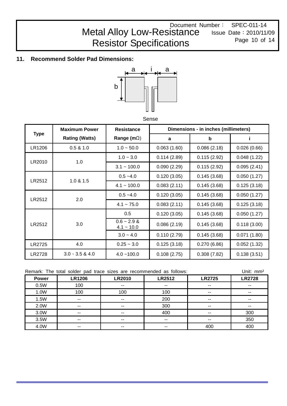## Document Number: SPEC-011-14 Issue Date:2010/11/09 Page 10 of 14 Metal Alloy Low-Resistance Resistor Specifications

# **11. Recommend Solder Pad Dimensions:**



Sense

|               | <b>Maximum Power</b>   | <b>Resistance</b>             |             | Dimensions - in inches (millimeters) |             |
|---------------|------------------------|-------------------------------|-------------|--------------------------------------|-------------|
| <b>Type</b>   | <b>Rating (Watts)</b>  | Range (m $\Omega$ )           | a           | b                                    |             |
| LR1206        | 0.5 & 1.0              | $1.0 - 50.0$                  | 0.063(1.60) | 0.086(2.18)                          | 0.026(0.66) |
| LR2010        | 1.0                    | $1.0 - 3.0$                   | 0.114(2.89) | 0.115(2.92)                          | 0.048(1.22) |
|               |                        | $3.1 - 100.0$                 | 0.090(2.29) | 0.115(2.92)                          | 0.095(2.41) |
| LR2512        | 1.0 & 1.5              | $0.5 - 4.0$                   | 0.120(3.05) | 0.145(3.68)                          | 0.050(1.27) |
|               |                        | $4.1 - 100.0$                 | 0.083(2.11) | 0.145(3.68)                          | 0.125(3.18) |
| LR2512        | 2.0                    | $0.5 - 4.0$                   | 0.120(3.05) | 0.145(3.68)                          | 0.050(1.27) |
|               |                        | $4.1 - 75.0$                  | 0.083(2.11) | 0.145(3.68)                          | 0.125(3.18) |
|               |                        | 0.5                           | 0.120(3.05) | 0.145(3.68)                          | 0.050(1.27) |
| LR2512        | 3.0                    | $0.6 - 2.9$ &<br>$4.1 - 10.0$ | 0.086(2.19) | 0.145(3.68)                          | 0.118(3.00) |
|               |                        | $3.0 - 4.0$                   | 0.110(2.79) | 0.145(3.68)                          | 0.071(1.80) |
| LR2725        | 4.0                    | $0.25 - 3.0$                  | 0.125(3.18) | 0.270(6.86)                          | 0.052(1.32) |
| <b>LR2728</b> | $3.0 \cdot 3.5 \& 4.0$ | $4.0 - 100.0$                 | 0.108(2.75) | 0.308(7.82)                          | 0.138(3.51) |

|              |                          |               | Unit: mm <sup>2</sup><br>Remark: The total solder pad trace sizes are recommended as follows: |               |               |  |
|--------------|--------------------------|---------------|-----------------------------------------------------------------------------------------------|---------------|---------------|--|
| <b>Power</b> | <b>LR1206</b>            | <b>LR2010</b> | <b>LR2512</b>                                                                                 | <b>LR2725</b> | <b>LR2728</b> |  |
| 0.5W         | 100                      | --            | --                                                                                            | $- -$         | --            |  |
| 1.0W         | 100                      | 100           | 100                                                                                           | $-$           | --            |  |
| 1.5W         | $\sim$ $\sim$            | $- -$         | 200                                                                                           | $-$           |               |  |
| 2.0W         | $\sim$ $\sim$            | $- -$         | 300                                                                                           | $-$           | --            |  |
| 3.0W         | $\overline{\phantom{a}}$ | $- -$         | 400                                                                                           | $\sim$ $\sim$ | 300           |  |
| 3.5W         | $\sim$ $\sim$            | $- -$         | $-$                                                                                           | $- -$         | 350           |  |
| 4.0W         | $- -$                    | --            | $-$                                                                                           | 400           | 400           |  |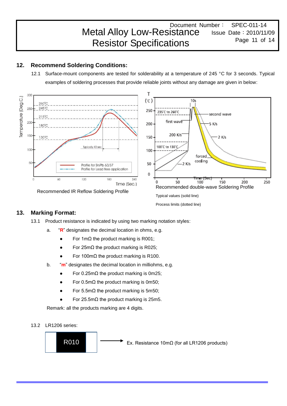#### Document Number: SPEC-011-14 Issue Date:2010/11/09 Page 11 of 14 Metal Alloy Low-Resistance Resistor Specifications

# **12. Recommend Soldering Conditions:**

12.1 Surface-mount components are tested for solderability at a temperature of 245 °C for 3 seconds. Typical examples of soldering processes that provide reliable joints without any damage are given in below:



Process limits (dotted line)

# **13. Marking Format:**

- 13.1 Product resistance is indicated by using two marking notation styles:
	- a. "**R**" designates the decimal location in ohms, e.g.
		- For 1mΩ the product marking is R001;
		- For 25m $Ω$  the product marking is R025;
		- For 100mΩ the product marking is R100.
	- b. "**m**" designates the decimal location in milliohms, e.g.
		- For  $0.25$ mΩ the product marking is 0m25;
		- For 0.5m $Ω$  the product marking is 0m50;
		- For 5.5m $Ω$  the product marking is 5m50;
		- For 25.5m $Ω$  the product marking is 25m5.

Remark: all the products marking are 4 digits.

13.2 LR1206 series:

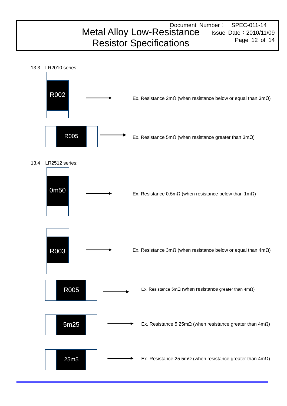# Document Number: SPEC-011-14 Metal Alloy Low-Resistance Issue Date: 2010/11/09 Page 12 of 14 Resistor Specifications

13.3 LR2010 series:

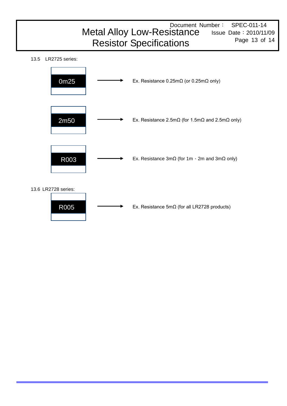# Document Number: SPEC-011-14 Issue Date:2010/11/09 Page 13 of 14 Metal Alloy Low-Resistance Resistor Specifications

13.5 LR2725 series:



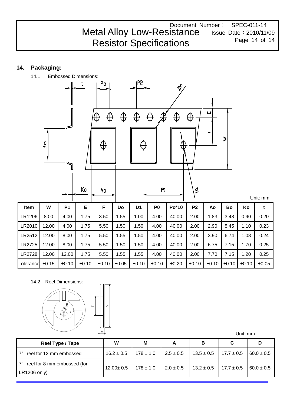Document Number: SPEC-011-14 Issue Date:2010/11/09 Page 14 of 14 Metal Alloy Low-Resistance Resistor Specifications

# **14. Packaging:**



14.2 Reel Dimensions:



| VV.                                         |                 |               |               |                | Unit: mm       |                |
|---------------------------------------------|-----------------|---------------|---------------|----------------|----------------|----------------|
| Reel Type / Tape                            | W               | M             | А             | В              | C              | D              |
| reel for 12 mm embossed                     | $16.2 \pm 0.5$  | $178 \pm 1.0$ | $2.5 \pm 0.5$ | $13.5 \pm 0.5$ | $17.7 \pm 0.5$ | $60.0 \pm 0.5$ |
| reel for 8 mm embossed (for<br>LR1206 only) | $12.00 \pm 0.5$ | $178 \pm 1.0$ | $2.0 \pm 0.5$ | $13.2 \pm 0.5$ | $17.7 \pm 0.5$ | $60.0 \pm 0.5$ |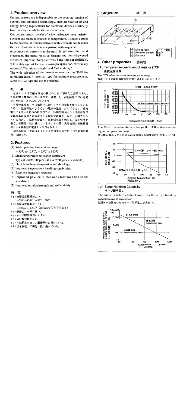# 1. Product overview

Current sensors are indispensable to the accurate sensing of current and advanced technology, miniaturization of and energy saving requirements for electronic devices drastically have increased needs for the current sensors.

Our current sensors consist of a low resistance metal resistive element and stable to changes in temperature. It senses current by the potential difference between both terminals and features the ease of use and cost in comparison with magnetic

reluctances or current transformers. In addition, the metal electrodes, the metal resistive element and non-wirewound structure improve "Surge current handling capabilities". "Flexibility against thermal shrinkage/expansion", "Frequency response","Terminal strenght" and "Solderability".

The wide selection of the current sensors such as SMD for miniaturization, 4 terminal type for accurate measurement, metal resistor type and etc. is available.

#### 概 要

電流センサは正確な電流の検出のために不可欠な部品であり、 近年の電子機器の小型・薄型化、省電力化、高性能化に伴い電流 センサのニーズが高まっています。

当社の電流センサは抵抗体に銅ニッケル合金板を使用している ために、温度係数が小さく広い範囲の温度に対して安定し、過渡 電力にも強い低抵抗の抵抗器です。SMD型電流センサは抵抗体が 金属電極に溶接されエポキシ系樹脂で絶縁モールドした構造をし ているため、寸法精度が良く、熱膨張収縮を吸収し、端子強度が 強く、半田付け性に優れています。その他、大電流用に絶縁被覆 のない金属板型の電流センサがあります。

磁気抵抗素子や電流トランスを使用する方式に比べて非常に簡 便、安価です。

## 2. Features

- (1) Wide operating temperature ranges  $-55^{\circ}$  to 155  $\degree$  to  $-55^{\circ}$  to 180  $\degree$
- (2) Small temperature-resistance coefficient Typical less  $\pm$  100ppm/°C (Less  $\pm$  50ppm/°C available)
- (3) Flexible to thermal expansion and shrinkage
- (4) Improved surge current handling capabilities
- (5) Excellent frequency response
- (6) Improved physical dimensions tolerance and shock absorbance
- (7) Improved terminal strength and solderability

#### 特徴

- (1) 使用温度範囲が広い。
- $-55^{\circ}\text{C} \sim 155^{\circ}\text{C}$ ,  $-55^{\circ}\text{C} \sim 180^{\circ}\text{C}$
- (2) 抵抗温度係数が小さい。
- ±100ppm/℃以下(±50ppm/℃以下もある)
- (3) 熱膨張、収縮に強い。
- (4) サージ限界電力が大きい。
- (5) 周波数特性が良い。
- (6)寸法精度が良く、耐衝撃性に優れている。
- (7)端子強度、半田付け性に優れている。



壦

#### 4. Other properties 諸特性

#### (1) Temperature-coefficient of resistor (TCR) 抵抗温度係数

The TCR of our current sensors as follows: 電流センサの抵抗温度係数の実力値を以下に示します。



The Cu-Ni resistive element keeps the TCR stable even at higher temperature range

抵抗体の銅ニッケル合金は高温領域でも温度係数が安定していま す。



(2) Surge Handling Capability サージ限界電力

The metal resistive element improves the surge handing capabilities as shown below:

抵抗体が金属板のためサージ限界電力が大きい。



3. Structure